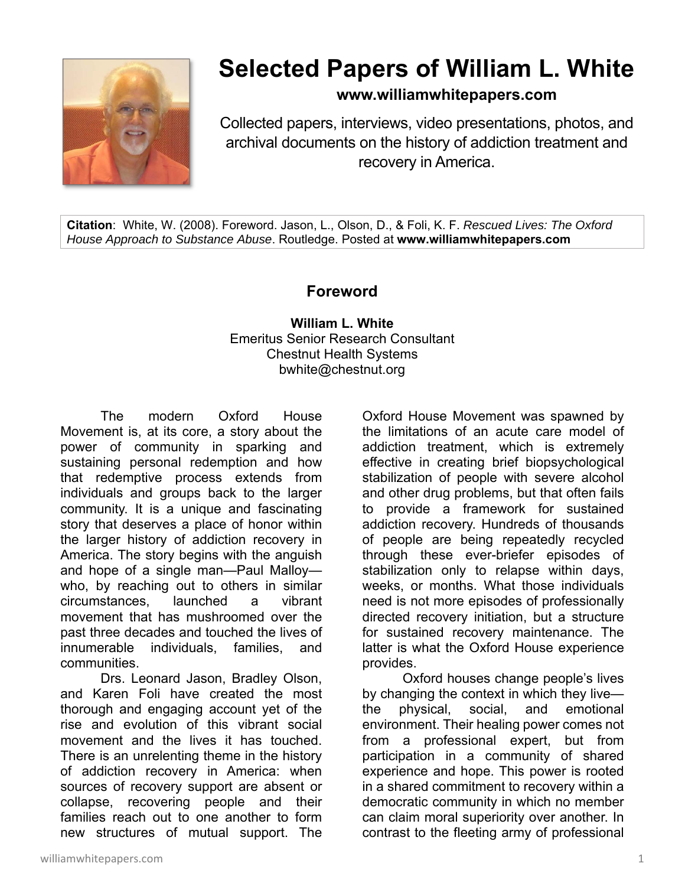

## **Selected Papers of William L. White**

**www.williamwhitepapers.com**

Collected papers, interviews, video presentations, photos, and archival documents on the history of addiction treatment and recovery in America.

**Citation**: White, W. (2008). Foreword. Jason, L., Olson, D., & Foli, K. F. *Rescued Lives: The Oxford House Approach to Substance Abuse*. Routledge. Posted at **www.williamwhitepapers.com** 

## **Foreword**

**William L. White**  Emeritus Senior Research Consultant Chestnut Health Systems bwhite@chestnut.org

The modern Oxford House Movement is, at its core, a story about the power of community in sparking and sustaining personal redemption and how that redemptive process extends from individuals and groups back to the larger community. It is a unique and fascinating story that deserves a place of honor within the larger history of addiction recovery in America. The story begins with the anguish and hope of a single man—Paul Malloy who, by reaching out to others in similar circumstances, launched a vibrant movement that has mushroomed over the past three decades and touched the lives of innumerable individuals, families, and communities.

Drs. Leonard Jason, Bradley Olson, and Karen Foli have created the most thorough and engaging account yet of the rise and evolution of this vibrant social movement and the lives it has touched. There is an unrelenting theme in the history of addiction recovery in America: when sources of recovery support are absent or collapse, recovering people and their families reach out to one another to form new structures of mutual support. The

Oxford House Movement was spawned by the limitations of an acute care model of addiction treatment, which is extremely effective in creating brief biopsychological stabilization of people with severe alcohol and other drug problems, but that often fails to provide a framework for sustained addiction recovery. Hundreds of thousands of people are being repeatedly recycled through these ever-briefer episodes of stabilization only to relapse within days, weeks, or months. What those individuals need is not more episodes of professionally directed recovery initiation, but a structure for sustained recovery maintenance. The latter is what the Oxford House experience provides.

Oxford houses change people's lives by changing the context in which they live the physical, social, and emotional environment. Their healing power comes not from a professional expert, but from participation in a community of shared experience and hope. This power is rooted in a shared commitment to recovery within a democratic community in which no member can claim moral superiority over another. In contrast to the fleeting army of professional